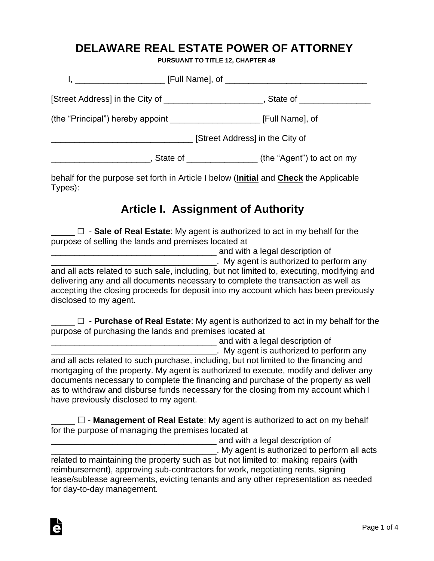#### **DELAWARE REAL ESTATE POWER OF ATTORNEY**

**PURSUANT TO TITLE 12, CHAPTER 49**

| [Street Address] in the City of _______________________, State of ______________ |  |
|----------------------------------------------------------------------------------|--|
|                                                                                  |  |
| [Street Address] in the City of                                                  |  |
| __, State of _________________ (the "Agent") to act on my                        |  |

behalf for the purpose set forth in Article I below (**Initial** and **Check** the Applicable Types):

### **Article I. Assignment of Authority**

\_\_\_\_\_ ☐ - **Sale of Real Estate**: My agent is authorized to act in my behalf for the purpose of selling the lands and premises located at

\_\_\_\_\_\_\_\_\_\_\_\_\_\_\_\_\_\_\_\_\_\_\_\_\_\_\_\_\_\_\_\_\_\_\_ and with a legal description of

. My agent is authorized to perform any and all acts related to such sale, including, but not limited to, executing, modifying and delivering any and all documents necessary to complete the transaction as well as accepting the closing proceeds for deposit into my account which has been previously disclosed to my agent.

\_\_\_\_\_ ☐ - **Purchase of Real Estate**: My agent is authorized to act in my behalf for the purpose of purchasing the lands and premises located at

**EXECUTE:** And with a legal description of

. My agent is authorized to perform any and all acts related to such purchase, including, but not limited to the financing and mortgaging of the property. My agent is authorized to execute, modify and deliver any documents necessary to complete the financing and purchase of the property as well as to withdraw and disburse funds necessary for the closing from my account which I have previously disclosed to my agent.

**□ D** - **Management of Real Estate**: My agent is authorized to act on my behalf for the purpose of managing the premises located at

and with a legal description of

\_\_\_\_\_\_\_\_\_\_\_\_\_\_\_\_\_\_\_\_\_\_\_\_\_\_\_\_\_\_\_\_\_\_\_. My agent is authorized to perform all acts related to maintaining the property such as but not limited to: making repairs (with

reimbursement), approving sub-contractors for work, negotiating rents, signing lease/sublease agreements, evicting tenants and any other representation as needed for day-to-day management.

Ġ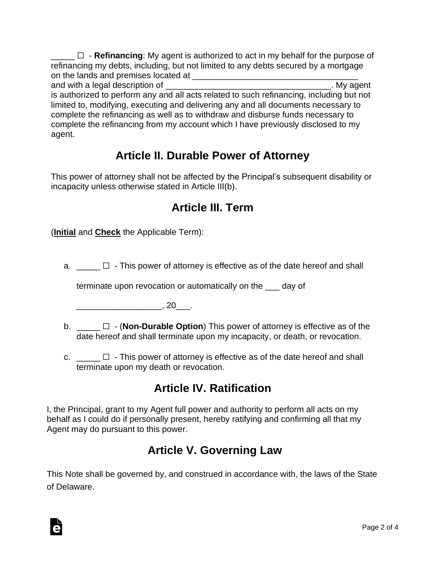$\Box$  - **Refinancing**: My agent is authorized to act in my behalf for the purpose of refinancing my debts, including, but not limited to any debts secured by a mortgage on the lands and premises located at **with any contract of the lands** and premises located at

and with a legal description of **EXALC 2008** and with a legal description of is authorized to perform any and all acts related to such refinancing, including but not limited to, modifying, executing and delivering any and all documents necessary to complete the refinancing as well as to withdraw and disburse funds necessary to complete the refinancing from my account which I have previously disclosed to my agent.

# **Article II. Durable Power of Attorney**

This power of attorney shall not be affected by the Principal's subsequent disability or incapacity unless otherwise stated in Article III(b).

# **Article III. Term**

(**Initial** and **Check** the Applicable Term):

a.  $\Box$  - This power of attorney is effective as of the date hereof and shall

terminate upon revocation or automatically on the \_\_\_ day of

 $\overline{\phantom{a}}$ , 20 $\overline{\phantom{a}}$ .

Ġ

- b. \_\_\_\_\_ ☐ (**Non-Durable Option**) This power of attorney is effective as of the date hereof and shall terminate upon my incapacity, or death, or revocation.
- c.  $\Box$   $\Box$  This power of attorney is effective as of the date hereof and shall terminate upon my death or revocation.

# **Article IV. Ratification**

I, the Principal, grant to my Agent full power and authority to perform all acts on my behalf as I could do if personally present, hereby ratifying and confirming all that my Agent may do pursuant to this power.

# **Article V. Governing Law**

This Note shall be governed by, and construed in accordance with, the laws of the State of Delaware.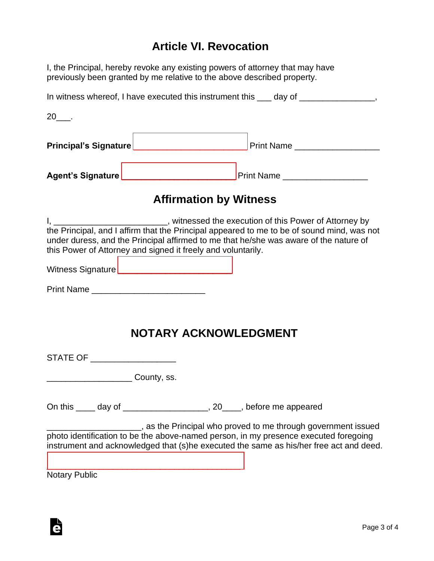### **Article VI. Revocation**

I, the Principal, hereby revoke any existing powers of attorney that may have previously been granted by me relative to the above described property.

| <b>Affirmation by Witness</b>                                                         |  |  |
|---------------------------------------------------------------------------------------|--|--|
|                                                                                       |  |  |
|                                                                                       |  |  |
| $20$ ____.                                                                            |  |  |
| In witness whereof, I have executed this instrument this ___ day of ________________, |  |  |

I, \_\_\_\_\_\_\_\_\_\_\_\_\_\_\_\_\_\_\_\_\_\_\_, witnessed the execution of this Power of Attorney by the Principal, and I affirm that the Principal appeared to me to be of sound mind, was not under duress, and the Principal affirmed to me that he/she was aware of the nature of this Power of Attorney and signed it freely and voluntarily.

Witness Signature [\\_\\_\\_\\_\\_\\_\\_\\_\\_\\_\\_\\_\\_\\_\\_\\_\\_\\_\\_\\_\\_\\_\\_\\_](https://esign.com)

[\\_\\_\\_\\_\\_\\_\\_\\_\\_\\_\\_\\_\\_\\_\\_\\_\\_\\_\\_\\_\\_\\_\\_\\_\\_\\_\\_\\_\\_\\_\\_\\_\\_\\_\\_\\_\\_\\_\\_\\_\\_](https://esign.com)

Print Name **Example 20** 

#### **NOTARY ACKNOWLEDGMENT**

STATE OF \_\_\_\_\_\_\_\_\_\_\_\_\_\_\_\_\_\_\_\_\_

\_\_\_\_\_\_\_\_\_\_\_\_\_\_\_\_\_\_ County, ss.

On this \_\_\_\_ day of \_\_\_\_\_\_\_\_\_\_\_\_\_\_\_\_\_\_, 20\_\_\_\_, before me appeared

\_\_\_\_\_\_\_\_\_\_\_\_\_\_\_\_\_\_\_\_, as the Principal who proved to me through government issued photo identification to be the above-named person, in my presence executed foregoing instrument and acknowledged that (s)he executed the same as his/her free act and deed.

Notary Public

Ġ